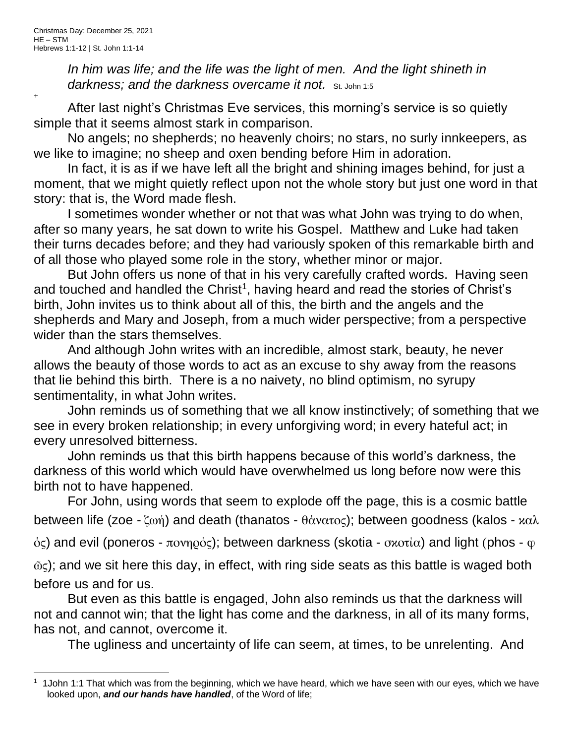+

In him was life; and the life was the light of men. And the light shineth in darkness; and the darkness overcame it not. St. John 1:5

After last night's Christmas Eve services, this morning's service is so quietly simple that it seems almost stark in comparison.

No angels; no shepherds; no heavenly choirs; no stars, no surly innkeepers, as we like to imagine; no sheep and oxen bending before Him in adoration.

In fact, it is as if we have left all the bright and shining images behind, for just a moment, that we might quietly reflect upon not the whole story but just one word in that story: that is, the Word made flesh.

I sometimes wonder whether or not that was what John was trying to do when, after so many years, he sat down to write his Gospel. Matthew and Luke had taken their turns decades before; and they had variously spoken of this remarkable birth and of all those who played some role in the story, whether minor or major.

But John offers us none of that in his very carefully crafted words. Having seen and touched and handled the Christ<sup>1</sup>, having heard and read the stories of Christ's birth, John invites us to think about all of this, the birth and the angels and the shepherds and Mary and Joseph, from a much wider perspective; from a perspective wider than the stars themselves.

And although John writes with an incredible, almost stark, beauty, he never allows the beauty of those words to act as an excuse to shy away from the reasons that lie behind this birth. There is a no naivety, no blind optimism, no syrupy sentimentality, in what John writes.

John reminds us of something that we all know instinctively; of something that we see in every broken relationship; in every unforgiving word; in every hateful act; in every unresolved bitterness.

John reminds us that this birth happens because of this world's darkness, the darkness of this world which would have overwhelmed us long before now were this birth not to have happened.

For John, using words that seem to explode off the page, this is a cosmic battle between life (zoe - ζωή) and death (thanatos - θάνατος); between goodness (kalos - καλ

 $\dot{\phi}$ ς) and evil (poneros - πονηρός); between darkness (skotia - σχοτία) and light (phos - φ

 $\tilde{\omega}$ ς); and we sit here this day, in effect, with ring side seats as this battle is waged both before us and for us.

But even as this battle is engaged, John also reminds us that the darkness will not and cannot win; that the light has come and the darkness, in all of its many forms, has not, and cannot, overcome it.

The ugliness and uncertainty of life can seem, at times, to be unrelenting. And

<sup>&</sup>lt;sup>1</sup> 1John 1:1 That which was from the beginning, which we have heard, which we have seen with our eyes, which we have looked upon, *and our hands have handled*, of the Word of life;